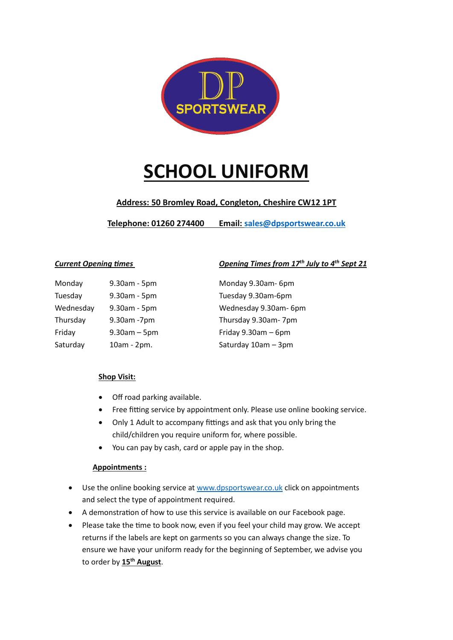

# **SCHOOL UNIFORM**

## **Address: 50 Bromley Road, Congleton, Cheshire CW12 1PT**

**Telephone: 01260 274400 Email: [sales@dpsportswear.co.uk](mailto:sales@dpsportswear.co.uk)**

| Monday    | 9.30am - 5pm      | Monday 9.30am-6pm        |
|-----------|-------------------|--------------------------|
| Tuesday   | 9.30am - 5pm      | Tuesday 9.30am-6pm       |
| Wednesday | 9.30am - 5pm      | Wednesday 9.30am-6       |
| Thursday  | 9.30am -7pm       | Thursday 9.30am-7pn      |
| Friday    | $9.30$ am $-5$ pm | Friday $9.30$ am $-6$ pm |
| Saturday  | 10am - 2pm.       | Saturday 10am - 3pm      |

*Current Opening times Opening Times from 17th July to 4th Sept 21*

Monday 9.30am- 6pm Tuesday 9.30am-6pm Wednesday 9.30am- 6pm Thursday 9.30am- 7pm Friday  $9.30$ am – 6pm

### **Shop Visit:**

- Off road parking available.
- Free fitting service by appointment only. Please use online booking service.
- Only 1 Adult to accompany fittings and ask that you only bring the child/children you require uniform for, where possible.
- You can pay by cash, card or apple pay in the shop.

### **Appointments :**

- Use the online booking service a[t www.dpsportswear.co.uk](http://www.dpsportswear.co.uk/) click on appointments and select the type of appointment required.
- A demonstration of how to use this service is available on our Facebook page.
- Please take the time to book now, even if you feel your child may grow. We accept returns if the labels are kept on garments so you can always change the size. To ensure we have your uniform ready for the beginning of September, we advise you to order by **15th August**.